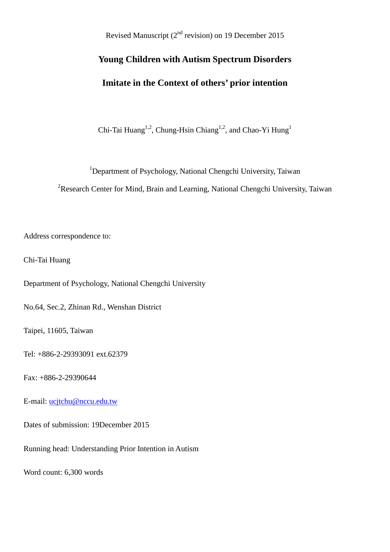Revised Manuscript (2<sup>nd</sup> revision) on 19 December 2015

# **Young Children with Autism Spectrum Disorders Imitate in the Context of others' prior intention**

Chi-Tai Huang<sup>1,2</sup>, Chung-Hsin Chiang<sup>1,2</sup>, and Chao-Yi Hung<sup>1</sup>

<sup>1</sup>Department of Psychology, National Chengchi University, Taiwan

<sup>2</sup>Research Center for Mind, Brain and Learning, National Chengchi University, Taiwan

Address correspondence to:

Chi-Tai Huang

Department of Psychology, National Chengchi University

No.64, Sec.2, Zhinan Rd., Wenshan District

Taipei, 11605, Taiwan

Tel: +886-2-29393091 ext.62379

Fax: +886-2-29390644

E-mail: [ucjtchu@nccu.edu.tw](mailto:ucjtchu@nccu.edu.tw)

Dates of submission: 19December 2015

Running head: Understanding Prior Intention in Autism

Word count: 6,300 words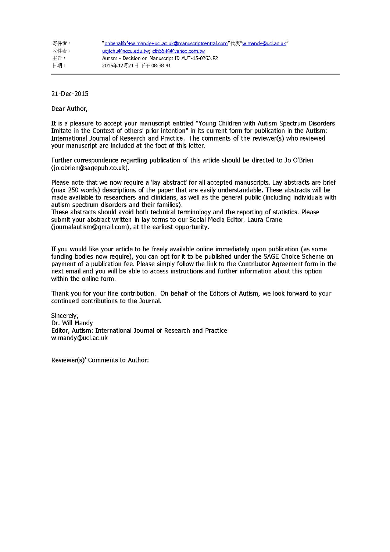| 寄件者: | "onbehalfof+w.mandy+ucl.ac.uk@manuscriptcentral.com"代表"w.mandy@ucl.ac.uk" |
|------|---------------------------------------------------------------------------|
| 收件者: | ucitchu@nccu.edu.tw; cth5644@vahoo.com.tw                                 |
| 丰旨:  | Autism - Decision on Manuscript ID AUT-15-0263.R2                         |
| 日期:  | 2015年12月21日下午08:38:41                                                     |

21-Dec-2015

Dear Author,

It is a pleasure to accept your manuscript entitled "Young Children with Autism Spectrum Disorders Imitate in the Context of others' prior intention" in its current form for publication in the Autism: International Journal of Research and Practice. The comments of the reviewer(s) who reviewed your manuscript are included at the foot of this letter.

Further correspondence regarding publication of this article should be directed to Jo O'Brien (jo.obrien@sagepub.co.uk).

Please note that we now require a 'lay abstract' for all accepted manuscripts. Lay abstracts are brief (max 250 words) descriptions of the paper that are easily understandable. These abstracts will be made available to researchers and clinicians, as well as the general public (including individuals with autism spectrum disorders and their families).

These abstracts should avoid both technical terminology and the reporting of statistics. Please submit your abstract written in lay terms to our Social Media Editor, Laura Crane (journalautism@gmail.com), at the earliest opportunity.

If you would like your article to be freely available online immediately upon publication (as some funding bodies now require), you can opt for it to be published under the SAGE Choice Scheme on payment of a publication fee. Please simply follow the link to the Contributor Agreement form in the next email and you will be able to access instructions and further information about this option within the online form.

Thank you for your fine contribution. On behalf of the Editors of Autism, we look forward to your continued contributions to the Journal.

Sincerely, Dr. Will Mandy Editor, Autism: International Journal of Research and Practice w.mandy@ucl.ac.uk

Reviewer(s)' Comments to Author: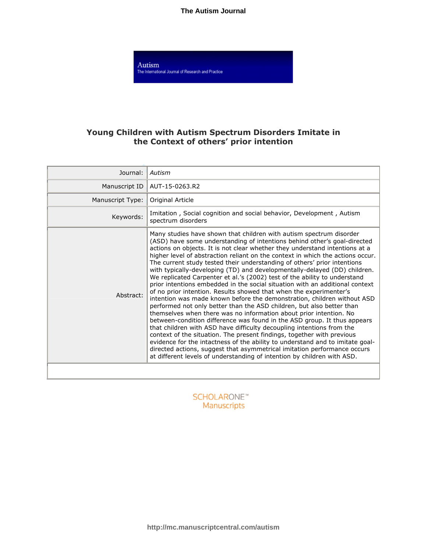**The Autism Journal**

Autism The International Journal of Research and Practice

# **Young Children with Autism Spectrum Disorders Imitate in the Context of others' prior intention**

| Journal:         | Autism                                                                                                                                                                                                                                                                                                                                                                                                                                                                                                                                                                                                                                                                                                                                                                                                                                                                                                                                                                                                                                                                                                                                                                                                                                                                                                                                                                                                        |  |  |  |
|------------------|---------------------------------------------------------------------------------------------------------------------------------------------------------------------------------------------------------------------------------------------------------------------------------------------------------------------------------------------------------------------------------------------------------------------------------------------------------------------------------------------------------------------------------------------------------------------------------------------------------------------------------------------------------------------------------------------------------------------------------------------------------------------------------------------------------------------------------------------------------------------------------------------------------------------------------------------------------------------------------------------------------------------------------------------------------------------------------------------------------------------------------------------------------------------------------------------------------------------------------------------------------------------------------------------------------------------------------------------------------------------------------------------------------------|--|--|--|
| Manuscript ID    | AUT-15-0263.R2                                                                                                                                                                                                                                                                                                                                                                                                                                                                                                                                                                                                                                                                                                                                                                                                                                                                                                                                                                                                                                                                                                                                                                                                                                                                                                                                                                                                |  |  |  |
| Manuscript Type: | Original Article                                                                                                                                                                                                                                                                                                                                                                                                                                                                                                                                                                                                                                                                                                                                                                                                                                                                                                                                                                                                                                                                                                                                                                                                                                                                                                                                                                                              |  |  |  |
| Keywords:        | Imitation, Social cognition and social behavior, Development, Autism<br>spectrum disorders                                                                                                                                                                                                                                                                                                                                                                                                                                                                                                                                                                                                                                                                                                                                                                                                                                                                                                                                                                                                                                                                                                                                                                                                                                                                                                                    |  |  |  |
| Abstract:        | Many studies have shown that children with autism spectrum disorder<br>(ASD) have some understanding of intentions behind other's goal-directed<br>actions on objects. It is not clear whether they understand intentions at a<br>higher level of abstraction reliant on the context in which the actions occur.<br>The current study tested their understanding of others' prior intentions<br>with typically-developing (TD) and developmentally-delayed (DD) children.<br>We replicated Carpenter et al.'s (2002) test of the ability to understand<br>prior intentions embedded in the social situation with an additional context<br>of no prior intention. Results showed that when the experimenter's<br>intention was made known before the demonstration, children without ASD<br>performed not only better than the ASD children, but also better than<br>themselves when there was no information about prior intention. No<br>between-condition difference was found in the ASD group. It thus appears<br>that children with ASD have difficulty decoupling intentions from the<br>context of the situation. The present findings, together with previous<br>evidence for the intactness of the ability to understand and to imitate goal-<br>directed actions, suggest that asymmetrical imitation performance occurs<br>at different levels of understanding of intention by children with ASD. |  |  |  |
|                  |                                                                                                                                                                                                                                                                                                                                                                                                                                                                                                                                                                                                                                                                                                                                                                                                                                                                                                                                                                                                                                                                                                                                                                                                                                                                                                                                                                                                               |  |  |  |

**SCHOLARONE™** Manuscripts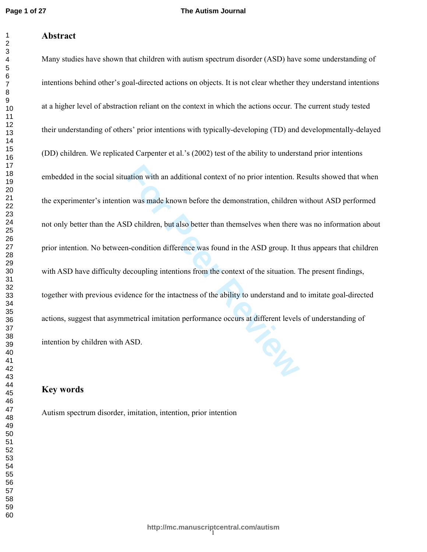$\mathbf{1}$  $\overline{2}$ 

# **Abstract**

ration with an additional context of no prior intention. R<br>n was made known before the demonstration, children<br>D children, but also better than themselves when there<br>n-condition difference was found in the ASD group. It t<br> Many studies have shown that children with autism spectrum disorder (ASD) have some understanding of intentions behind other's goal-directed actions on objects. It is not clear whether they understand intentions at a higher level of abstraction reliant on the context in which the actions occur. The current study tested their understanding of others' prior intentions with typically-developing (TD) and developmentally-delayed (DD) children. We replicated Carpenter et al.'s (2002) test of the ability to understand prior intentions embedded in the social situation with an additional context of no prior intention. Results showed that when the experimenter's intention was made known before the demonstration, children without ASD performed not only better than the ASD children, but also better than themselves when there was no information about prior intention. No between-condition difference was found in the ASD group. It thus appears that children with ASD have difficulty decoupling intentions from the context of the situation. The present findings, together with previous evidence for the intactness of the ability to understand and to imitate goal-directed actions, suggest that asymmetrical imitation performance occurs at different levels of understanding of intention by children with ASD.

## **Key words**

Autism spectrum disorder, imitation, intention, prior intention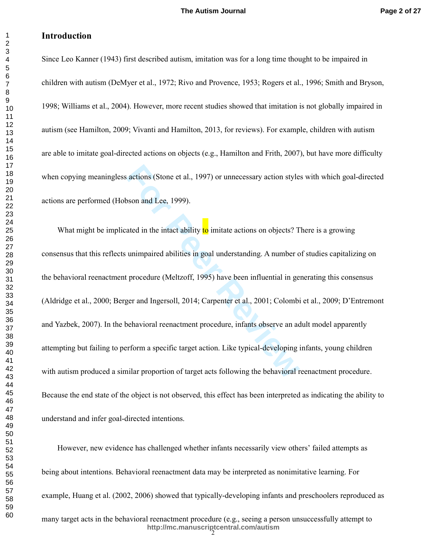# **Introduction**

Since Leo Kanner (1943) first described autism, imitation was for a long time thought to be impaired in children with autism (DeMyer et al., 1972; Rivo and Provence, 1953; Rogers et al., 1996; Smith and Bryson, 1998; Williams et al., 2004). However, more recent studies showed that imitation is not globally impaired in autism (see Hamilton, 2009; Vivanti and Hamilton, 2013, for reviews). For example, children with autism are able to imitate goal-directed actions on objects (e.g., Hamilton and Frith, 2007), but have more difficulty when copying meaningless actions (Stone et al., 1997) or unnecessary action styles with which goal-directed actions are performed (Hobson and Lee, 1999).

actions (Stone et al., 1997) or unnecessary action style<br> **Formal EVACO** and Lee, 1999).<br> **Formal EVACO** and Lee, 1999).<br> **Formal EVACO** and in the intact ability **to** imitate actions on objects? T<br> **EU** unimpaired abiliti What might be implicated in the intact ability to imitate actions on objects? There is a growing consensus that this reflects unimpaired abilities in goal understanding. A number of studies capitalizing on the behavioral reenactment procedure (Meltzoff, 1995) have been influential in generating this consensus (Aldridge et al., 2000; Berger and Ingersoll, 2014; Carpenter et al., 2001; Colombi et al., 2009; D'Entremont and Yazbek, 2007). In the behavioral reenactment procedure, infants observe an adult model apparently attempting but failing to perform a specific target action. Like typical-developing infants, young children with autism produced a similar proportion of target acts following the behavioral reenactment procedure. Because the end state of the object is not observed, this effect has been interpreted as indicating the ability to understand and infer goal-directed intentions.

However, new evidence has challenged whether infants necessarily view others' failed attempts as being about intentions. Behavioral reenactment data may be interpreted as nonimitative learning. For example, Huang et al. (2002, 2006) showed that typically-developing infants and preschoolers reproduced as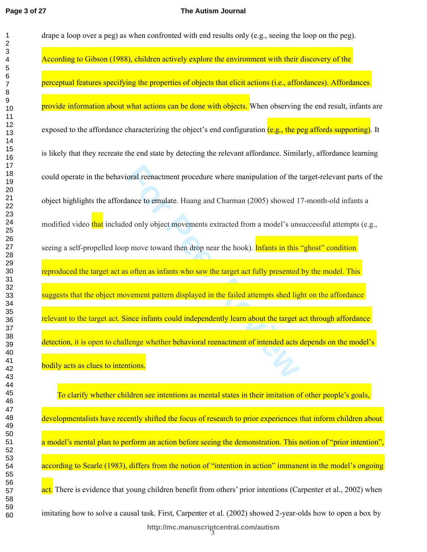#### **The Autism Journal**

oral reenactment procedure where manipulation of the transfer of mulate. Huang and Charman (2005) showed 1 and only object movements extracted from a model's unspace of move toward then drop near the hook). **Infants in thi** drape a loop over a peg) as when confronted with end results only (e.g., seeing the loop on the peg). According to Gibson (1988), children actively explore the environment with their discovery of the perceptual features specifying the properties of objects that elicit actions (i.e., affordances). Affordances provide information about what actions can be done with objects. When observing the end result, infants are exposed to the affordance characterizing the object's end configuration  $(e.g., the$  peg affords supporting). It is likely that they recreate the end state by detecting the relevant affordance. Similarly, affordance learning could operate in the behavioral reenactment procedure where manipulation of the target-relevant parts of the object highlights the affordance to emulate. Huang and Charman (2005) showed 17-month-old infants a modified video that included only object movements extracted from a model's unsuccessful attempts (e.g., seeing a self-propelled loop move toward then drop near the hook). Infants in this "ghost" condition reproduced the target act as often as infants who saw the target act fully presented by the model. This suggests that the object movement pattern displayed in the failed attempts shed light on the affordance relevant to the target act. Since infants could independently learn about the target act through affordance detection, it is open to challenge whether behavioral reenactment of intended acts depends on the model's bodily acts as clues to intentions.

3 **http://mc.manuscriptcentral.com/autism** To clarify whether children see intentions as mental states in their imitation of other people's goals, developmentalists have recently shifted the focus of research to prior experiences that inform children about a model's mental plan to perform an action before seeing the demonstration. This notion of "prior intention" according to Searle (1983), differs from the notion of "intention in action" immanent in the model's ongoing act. There is evidence that young children benefit from others' prior intentions (Carpenter et al., 2002) when imitating how to solve a causal task. First, Carpenter et al. (2002) showed 2-year-olds how to open a box by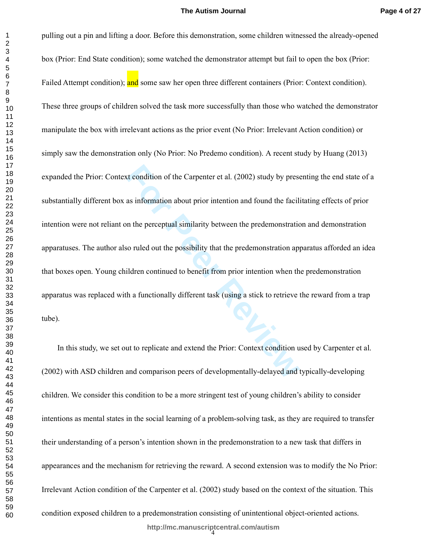For Condition of the Carpenter et al. (2002) study by prese<br>as information about prior intention and found the facil:<br>In the perceptual similarity between the predemonstration<br>applicant of the possibility that the predemon pulling out a pin and lifting a door. Before this demonstration, some children witnessed the already-opened box (Prior: End State condition); some watched the demonstrator attempt but fail to open the box (Prior: Failed Attempt condition); and some saw her open three different containers (Prior: Context condition). These three groups of children solved the task more successfully than those who watched the demonstrator manipulate the box with irrelevant actions as the prior event (No Prior: Irrelevant Action condition) or simply saw the demonstration only (No Prior: No Predemo condition). A recent study by Huang (2013) expanded the Prior: Context condition of the Carpenter et al. (2002) study by presenting the end state of a substantially different box as information about prior intention and found the facilitating effects of prior intention were not reliant on the perceptual similarity between the predemonstration and demonstration apparatuses. The author also ruled out the possibility that the predemonstration apparatus afforded an idea that boxes open. Young children continued to benefit from prior intention when the predemonstration apparatus was replaced with a functionally different task (using a stick to retrieve the reward from a trap tube).

4 **http://mc.manuscriptcentral.com/autism** In this study, we set out to replicate and extend the Prior: Context condition used by Carpenter et al. (2002) with ASD children and comparison peers of developmentally-delayed and typically-developing children. We consider this condition to be a more stringent test of young children's ability to consider intentions as mental states in the social learning of a problem-solving task, as they are required to transfer their understanding of a person's intention shown in the predemonstration to a new task that differs in appearances and the mechanism for retrieving the reward. A second extension was to modify the No Prior: Irrelevant Action condition of the Carpenter et al. (2002) study based on the context of the situation. This condition exposed children to a predemonstration consisting of unintentional object-oriented actions.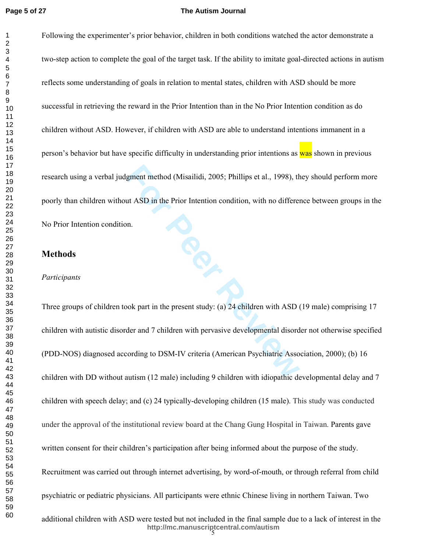$\mathbf{1}$  $\overline{2}$ 

## **The Autism Journal**

Following the experimenter's prior behavior, children in both conditions watched the actor demonstrate a two-step action to complete the goal of the target task. If the ability to imitate goal-directed actions in autism reflects some understanding of goals in relation to mental states, children with ASD should be more successful in retrieving the reward in the Prior Intention than in the No Prior Intention condition as do children without ASD. However, if children with ASD are able to understand intentions immanent in a person's behavior but have specific difficulty in understanding prior intentions as was shown in previous research using a verbal judgment method (Misailidi, 2005; Phillips et al., 1998), they should perform more poorly than children without ASD in the Prior Intention condition, with no difference between groups in the No Prior Intention condition.

## **Methods**

*Participants* 

gment method (Misailidi, 2005; Phillips et al., 1998), the<br>
ut ASD in the Prior Intention condition, with no differenties<br>
un.<br>
n.<br> **For Peer Reviews 12 and 7 children** with pervasive developmental disord<br>
ording to DSM-IV Three groups of children took part in the present study: (a) 24 children with ASD (19 male) comprising 17 children with autistic disorder and 7 children with pervasive developmental disorder not otherwise specified (PDD-NOS) diagnosed according to DSM-IV criteria (American Psychiatric Association, 2000); (b) 16 children with DD without autism (12 male) including 9 children with idiopathic developmental delay and 7 children with speech delay; and (c) 24 typically-developing children (15 male). This study was conducted under the approval of the institutional review board at the Chang Gung Hospital in Taiwan. Parents gave written consent for their children's participation after being informed about the purpose of the study. Recruitment was carried out through internet advertising, by word-of-mouth, or through referral from child psychiatric or pediatric physicians. All participants were ethnic Chinese living in northern Taiwan. Two

5 **http://mc.manuscriptcentral.com/autism** additional children with ASD were tested but not included in the final sample due to a lack of interest in the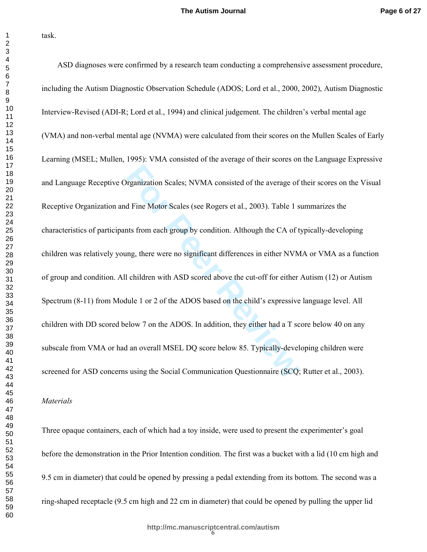task.

reganization Scales; NVMA consisted of the average of<br>d Fine Motor Scales (see Rogers et al., 2003). Table 1 s<br>ats from each group by condition. Although the CA of t<br>mg, there were no significant differences in either NVM<br> ASD diagnoses were confirmed by a research team conducting a comprehensive assessment procedure, including the Autism Diagnostic Observation Schedule (ADOS; Lord et al., 2000, 2002), Autism Diagnostic Interview-Revised (ADI-R; Lord et al., 1994) and clinical judgement. The children's verbal mental age (VMA) and non-verbal mental age (NVMA) were calculated from their scores on the Mullen Scales of Early Learning (MSEL; Mullen, 1995): VMA consisted of the average of their scores on the Language Expressive and Language Receptive Organization Scales; NVMA consisted of the average of their scores on the Visual Receptive Organization and Fine Motor Scales (see Rogers et al., 2003). Table 1 summarizes the characteristics of participants from each group by condition. Although the CA of typically-developing children was relatively young, there were no significant differences in either NVMA or VMA as a function of group and condition. All children with ASD scored above the cut-off for either Autism (12) or Autism Spectrum (8-11) from Module 1 or 2 of the ADOS based on the child's expressive language level. All children with DD scored below 7 on the ADOS. In addition, they either had a T score below 40 on any subscale from VMA or had an overall MSEL DQ score below 85. Typically-developing children were screened for ASD concerns using the Social Communication Questionnaire (SCQ; Rutter et al., 2003).

## *Materials*

Three opaque containers, each of which had a toy inside, were used to present the experimenter's goal before the demonstration in the Prior Intention condition. The first was a bucket with a lid (10 cm high and 9.5 cm in diameter) that could be opened by pressing a pedal extending from its bottom. The second was a ring-shaped receptacle (9.5 cm high and 22 cm in diameter) that could be opened by pulling the upper lid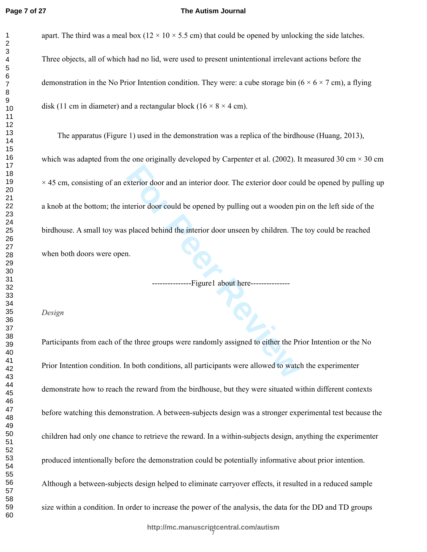$\mathbf{1}$  $\overline{2}$ 

## **The Autism Journal**

apart. The third was a meal box  $(12 \times 10 \times 5.5 \text{ cm})$  that could be opened by unlocking the side latches. Three objects, all of which had no lid, were used to present unintentional irrelevant actions before the demonstration in the No Prior Intention condition. They were: a cube storage bin  $(6 \times 6 \times 7 \text{ cm})$ , a flying disk (11 cm in diameter) and a rectangular block (16  $\times$  8  $\times$  4 cm).

Exterior door and an interior door. The exterior door counterior door counterior door could be opened by pulling out a wooden pionent procedure behind the interior door unseen by children. The processor of the interior of The apparatus (Figure 1) used in the demonstration was a replica of the birdhouse (Huang, 2013), which was adapted from the one originally developed by Carpenter et al. (2002). It measured 30 cm  $\times$  30 cm  $\times$  45 cm, consisting of an exterior door and an interior door. The exterior door could be opened by pulling up a knob at the bottom; the interior door could be opened by pulling out a wooden pin on the left side of the birdhouse. A small toy was placed behind the interior door unseen by children. The toy could be reached when both doors were open.

---Figure1 about here------------

## *Design*

Participants from each of the three groups were randomly assigned to either the Prior Intention or the No Prior Intention condition. In both conditions, all participants were allowed to watch the experimenter demonstrate how to reach the reward from the birdhouse, but they were situated within different contexts before watching this demonstration. A between-subjects design was a stronger experimental test because the children had only one chance to retrieve the reward. In a within-subjects design, anything the experimenter produced intentionally before the demonstration could be potentially informative about prior intention. Although a between-subjects design helped to eliminate carryover effects, it resulted in a reduced sample size within a condition. In order to increase the power of the analysis, the data for the DD and TD groups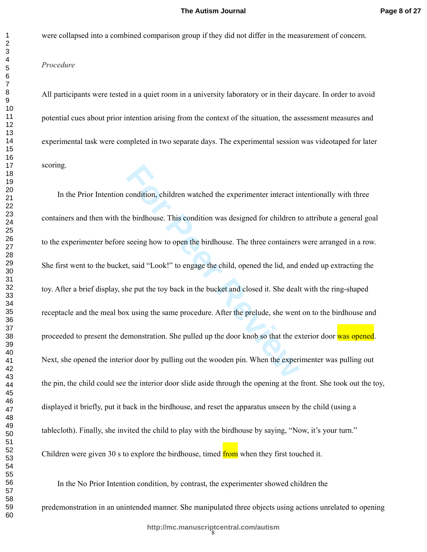were collapsed into a combined comparison group if they did not differ in the measurement of concern.

## *Procedure*

All participants were tested in a quiet room in a university laboratory or in their daycare. In order to avoid potential cues about prior intention arising from the context of the situation, the assessment measures and experimental task were completed in two separate days. The experimental session was videotaped for later scoring.

condition, children watched the experimenter interact in<br>the birdhouse. This condition was designed for children t<br>seeing how to open the birdhouse. The three containers<br>t, said "Look!" to engage the child, opened the lid, In the Prior Intention condition, children watched the experimenter interact intentionally with three containers and then with the birdhouse. This condition was designed for children to attribute a general goal to the experimenter before seeing how to open the birdhouse. The three containers were arranged in a row. She first went to the bucket, said "Look!" to engage the child, opened the lid, and ended up extracting the toy. After a brief display, she put the toy back in the bucket and closed it. She dealt with the ring-shaped receptacle and the meal box using the same procedure. After the prelude, she went on to the birdhouse and proceeded to present the demonstration. She pulled up the door knob so that the exterior door was opened. Next, she opened the interior door by pulling out the wooden pin. When the experimenter was pulling out the pin, the child could see the interior door slide aside through the opening at the front. She took out the toy, displayed it briefly, put it back in the birdhouse, and reset the apparatus unseen by the child (using a tablecloth). Finally, she invited the child to play with the birdhouse by saying, "Now, it's your turn." Children were given 30 s to explore the birdhouse, timed from when they first touched it.

In the No Prior Intention condition, by contrast, the experimenter showed children the predemonstration in an unintended manner. She manipulated three objects using actions unrelated to opening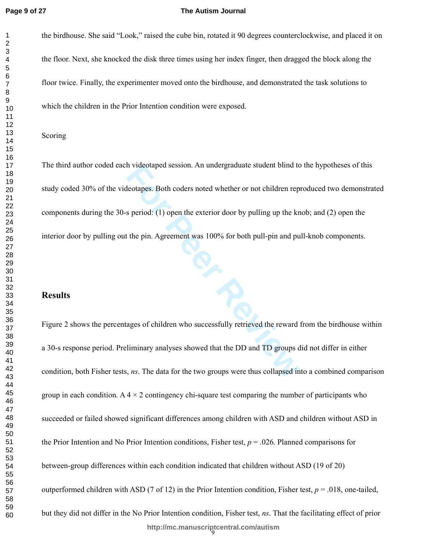## **The Autism Journal**

the birdhouse. She said "Look," raised the cube bin, rotated it 90 degrees counterclockwise, and placed it on the floor. Next, she knocked the disk three times using her index finger, then dragged the block along the floor twice. Finally, the experimenter moved onto the birdhouse, and demonstrated the task solutions to which the children in the Prior Intention condition were exposed.

## Scoring

In videotaped session. An undergraduate student bind to<br>deotapes. Both coders noted whether or not children rep<br>s period: (1) open the exterior door by pulling up the kr<br>the pin. Agreement was 100% for both pull-pin and pu The third author coded each videotaped session. An undergraduate student blind to the hypotheses of this study coded 30% of the videotapes. Both coders noted whether or not children reproduced two demonstrated components during the 30-s period: (1) open the exterior door by pulling up the knob; and (2) open the interior door by pulling out the pin. Agreement was 100% for both pull-pin and pull-knob components.

## **Results**

9 **http://mc.manuscriptcentral.com/autism** Figure 2 shows the percentages of children who successfully retrieved the reward from the birdhouse within a 30-s response period. Preliminary analyses showed that the DD and TD groups did not differ in either condition, both Fisher tests, *ns*. The data for the two groups were thus collapsed into a combined comparison group in each condition. A  $4 \times 2$  contingency chi-square test comparing the number of participants who succeeded or failed showed significant differences among children with ASD and children without ASD in the Prior Intention and No Prior Intention conditions, Fisher test,  $p = .026$ . Planned comparisons for between-group differences within each condition indicated that children without ASD (19 of 20) outperformed children with ASD (7 of 12) in the Prior Intention condition, Fisher test,  $p = .018$ , one-tailed, but they did not differ in the No Prior Intention condition, Fisher test, *ns*. That the facilitating effect of prior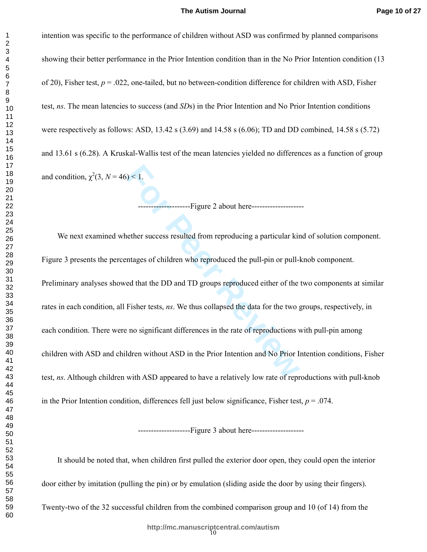intention was specific to the performance of children without ASD was confirmed by planned comparisons showing their better performance in the Prior Intention condition than in the No Prior Intention condition (13 of 20), Fisher test,  $p = 0.022$ , one-tailed, but no between-condition difference for children with ASD, Fisher test, *ns*. The mean latencies to success (and *SD*s) in the Prior Intention and No Prior Intention conditions were respectively as follows: ASD, 13.42 s (3.69) and 14.58 s (6.06); TD and DD combined, 14.58 s (5.72) and 13.61 s (6.28). A Kruskal-Wallis test of the mean latencies yielded no differences as a function of group and condition,  $\chi^2(3, N=46) < 1$ .

--------------------Figure 2 about here--------------------

**For Peer Review** We next examined whether success resulted from reproducing a particular kind of solution component. Figure 3 presents the percentages of children who reproduced the pull-pin or pull-knob component. Preliminary analyses showed that the DD and TD groups reproduced either of the two components at similar rates in each condition, all Fisher tests, *ns*. We thus collapsed the data for the two groups, respectively, in each condition. There were no significant differences in the rate of reproductions with pull-pin among children with ASD and children without ASD in the Prior Intention and No Prior Intention conditions, Fisher test, *ns*. Although children with ASD appeared to have a relatively low rate of reproductions with pull-knob in the Prior Intention condition, differences fell just below significance, Fisher test,  $p = .074$ .

---------------------Figure 3 about here---------------------

It should be noted that, when children first pulled the exterior door open, they could open the interior door either by imitation (pulling the pin) or by emulation (sliding aside the door by using their fingers).

Twenty-two of the 32 successful children from the combined comparison group and 10 (of 14) from the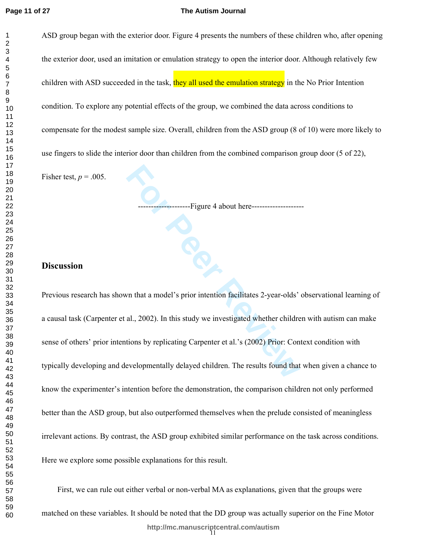$\mathbf{1}$  $\overline{2}$ 

## **The Autism Journal**

ASD group began with the exterior door. Figure 4 presents the numbers of these children who, after opening the exterior door, used an imitation or emulation strategy to open the interior door. Although relatively few children with ASD succeeded in the task, they all used the emulation strategy in the No Prior Intention condition. To explore any potential effects of the group, we combined the data across conditions to compensate for the modest sample size. Overall, children from the ASD group (8 of 10) were more likely to use fingers to slide the interior door than children from the combined comparison group door (5 of 22),

Fisher test,  $p = .005$ .

**For Peer Review** --------------------Figure 4 about here--------------------

## **Discussion**

Previous research has shown that a model's prior intention facilitates 2-year-olds' observational learning of a causal task (Carpenter et al., 2002). In this study we investigated whether children with autism can make sense of others' prior intentions by replicating Carpenter et al.'s (2002) Prior: Context condition with typically developing and developmentally delayed children. The results found that when given a chance to know the experimenter's intention before the demonstration, the comparison children not only performed better than the ASD group, but also outperformed themselves when the prelude consisted of meaningless irrelevant actions. By contrast, the ASD group exhibited similar performance on the task across conditions. Here we explore some possible explanations for this result.

11 **http://mc.manuscriptcentral.com/autism** First, we can rule out either verbal or non-verbal MA as explanations, given that the groups were matched on these variables. It should be noted that the DD group was actually superior on the Fine Motor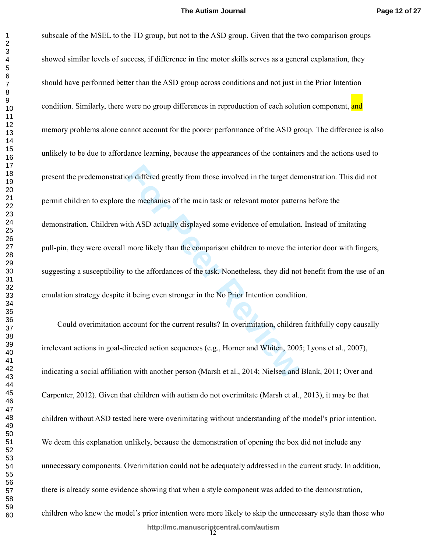on differed greatly from those involved in the target denthe mechanics of the main task or relevant motor pattern<br>the mechanics of the main task or relevant motor pattern<br>ith ASD actually displayed some evidence of emulati subscale of the MSEL to the TD group, but not to the ASD group. Given that the two comparison groups showed similar levels of success, if difference in fine motor skills serves as a general explanation, they should have performed better than the ASD group across conditions and not just in the Prior Intention condition. Similarly, there were no group differences in reproduction of each solution component, and memory problems alone cannot account for the poorer performance of the ASD group. The difference is also unlikely to be due to affordance learning, because the appearances of the containers and the actions used to present the predemonstration differed greatly from those involved in the target demonstration. This did not permit children to explore the mechanics of the main task or relevant motor patterns before the demonstration. Children with ASD actually displayed some evidence of emulation. Instead of imitating pull-pin, they were overall more likely than the comparison children to move the interior door with fingers, suggesting a susceptibility to the affordances of the task. Nonetheless, they did not benefit from the use of an emulation strategy despite it being even stronger in the No Prior Intention condition.

Could overimitation account for the current results? In overimitation, children faithfully copy causally irrelevant actions in goal-directed action sequences (e.g., Horner and Whiten, 2005; Lyons et al., 2007), indicating a social affiliation with another person (Marsh et al., 2014; Nielsen and Blank, 2011; Over and Carpenter, 2012). Given that children with autism do not overimitate (Marsh et al., 2013), it may be that children without ASD tested here were overimitating without understanding of the model's prior intention. We deem this explanation unlikely, because the demonstration of opening the box did not include any unnecessary components. Overimitation could not be adequately addressed in the current study. In addition, there is already some evidence showing that when a style component was added to the demonstration, children who knew the model's prior intention were more likely to skip the unnecessary style than those who

12 **http://mc.manuscriptcentral.com/autism**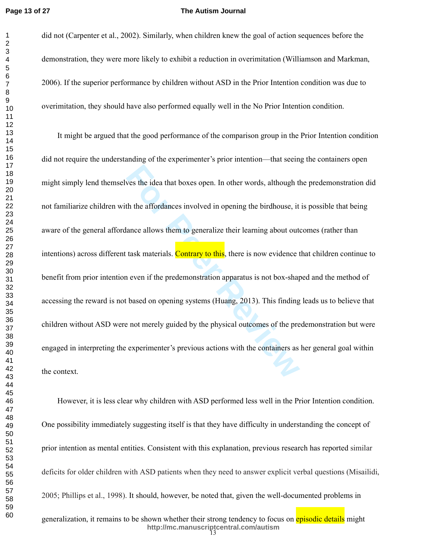## **The Autism Journal**

did not (Carpenter et al., 2002). Similarly, when children knew the goal of action sequences before the demonstration, they were more likely to exhibit a reduction in overimitation (Williamson and Markman, 2006). If the superior performance by children without ASD in the Prior Intention condition was due to overimitation, they should have also performed equally well in the No Prior Intention condition.

wes the idea that boxes open. In other words, although the affordances involved in opening the birdhouse, it ance allows them to generalize their learning about out task materials. Contrary to this, there is now evidence t It might be argued that the good performance of the comparison group in the Prior Intention condition did not require the understanding of the experimenter's prior intention—that seeing the containers open might simply lend themselves the idea that boxes open. In other words, although the predemonstration did not familiarize children with the affordances involved in opening the birdhouse, it is possible that being aware of the general affordance allows them to generalize their learning about outcomes (rather than intentions) across different task materials. Contrary to this, there is now evidence that children continue to benefit from prior intention even if the predemonstration apparatus is not box-shaped and the method of accessing the reward is not based on opening systems (Huang, 2013). This finding leads us to believe that children without ASD were not merely guided by the physical outcomes of the predemonstration but were engaged in interpreting the experimenter's previous actions with the containers as her general goal within the context.

However, it is less clear why children with ASD performed less well in the Prior Intention condition. One possibility immediately suggesting itself is that they have difficulty in understanding the concept of prior intention as mental entities. Consistent with this explanation, previous research has reported similar deficits for older children with ASD patients when they need to answer explicit verbal questions (Misailidi, 2005; Phillips et al., 1998). It should, however, be noted that, given the well-documented problems in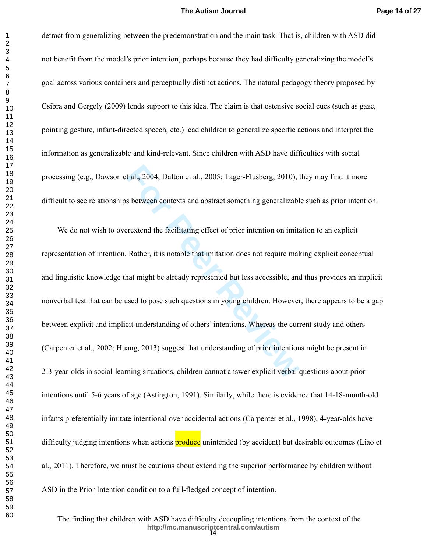## **The Autism Journal**

 $\mathbf{1}$ 

detract from generalizing between the predemonstration and the main task. That is, children with ASD did not benefit from the model's prior intention, perhaps because they had difficulty generalizing the model's goal across various containers and perceptually distinct actions. The natural pedagogy theory proposed by Csibra and Gergely (2009) lends support to this idea. The claim is that ostensive social cues (such as gaze, pointing gesture, infant-directed speech, etc.) lead children to generalize specific actions and interpret the information as generalizable and kind-relevant. Since children with ASD have difficulties with social processing (e.g., Dawson et al., 2004; Dalton et al., 2005; Tager-Flusberg, 2010), they may find it more difficult to see relationships between contexts and abstract something generalizable such as prior intention.

t al., 2004; Dalton et al., 2005; Tager-Flusberg, 2010), to sbetween contexts and abstract something generalizable<br>Frextend the facilitating effect of prior intention on imital<br>Rather, it is notable that imitation does not We do not wish to overextend the facilitating effect of prior intention on imitation to an explicit representation of intention. Rather, it is notable that imitation does not require making explicit conceptual and linguistic knowledge that might be already represented but less accessible, and thus provides an implicit nonverbal test that can be used to pose such questions in young children. However, there appears to be a gap between explicit and implicit understanding of others' intentions. Whereas the current study and others (Carpenter et al., 2002; Huang, 2013) suggest that understanding of prior intentions might be present in 2-3-year-olds in social-learning situations, children cannot answer explicit verbal questions about prior intentions until 5-6 years of age (Astington, 1991). Similarly, while there is evidence that 14-18-month-old infants preferentially imitate intentional over accidental actions (Carpenter et al., 1998), 4-year-olds have difficulty judging intentions when actions **produce** unintended (by accident) but desirable outcomes (Liao et al., 2011). Therefore, we must be cautious about extending the superior performance by children without ASD in the Prior Intention condition to a full-fledged concept of intention.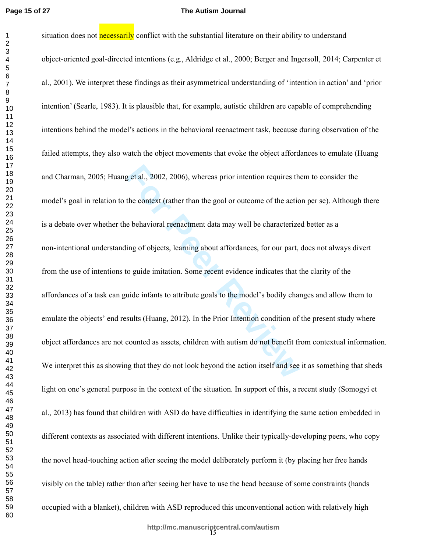### **The Autism Journal**

situation does not **necessarily** conflict with the substantial literature on their ability to understand

Expediantly, 2002, 2006), whereas prior intention requires the the context (rather than the goal or outcome of the actic e behavioral reenactment data may well be characterize ing of objects, learning about affordances, fo object-oriented goal-directed intentions (e.g., Aldridge et al., 2000; Berger and Ingersoll, 2014; Carpenter et al., 2001). We interpret these findings as their asymmetrical understanding of 'intention in action' and 'prior intention' (Searle, 1983). It is plausible that, for example, autistic children are capable of comprehending intentions behind the model's actions in the behavioral reenactment task, because during observation of the failed attempts, they also watch the object movements that evoke the object affordances to emulate (Huang and Charman, 2005; Huang et al., 2002, 2006), whereas prior intention requires them to consider the model's goal in relation to the context (rather than the goal or outcome of the action per se). Although there is a debate over whether the behavioral reenactment data may well be characterized better as a non-intentional understanding of objects, learning about affordances, for our part, does not always divert from the use of intentions to guide imitation. Some recent evidence indicates that the clarity of the affordances of a task can guide infants to attribute goals to the model's bodily changes and allow them to emulate the objects' end results (Huang, 2012). In the Prior Intention condition of the present study where object affordances are not counted as assets, children with autism do not benefit from contextual information. We interpret this as showing that they do not look beyond the action itself and see it as something that sheds light on one's general purpose in the context of the situation. In support of this, a recent study (Somogyi et al., 2013) has found that children with ASD do have difficulties in identifying the same action embedded in different contexts as associated with different intentions. Unlike their typically-developing peers, who copy the novel head-touching action after seeing the model deliberately perform it (by placing her free hands visibly on the table) rather than after seeing her have to use the head because of some constraints (hands occupied with a blanket), children with ASD reproduced this unconventional action with relatively high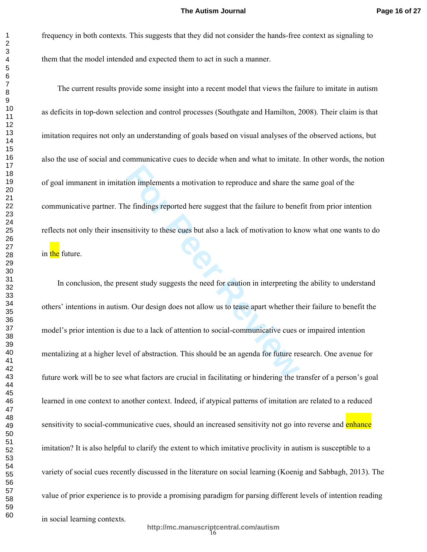frequency in both contexts. This suggests that they did not consider the hands-free context as signaling to them that the model intended and expected them to act in such a manner.

The current results provide some insight into a recent model that views the failure to imitate in autism as deficits in top-down selection and control processes (Southgate and Hamilton, 2008). Their claim is that imitation requires not only an understanding of goals based on visual analyses of the observed actions, but also the use of social and communicative cues to decide when and what to imitate. In other words, the notion of goal immanent in imitation implements a motivation to reproduce and share the same goal of the communicative partner. The findings reported here suggest that the failure to benefit from prior intention reflects not only their insensitivity to these cues but also a lack of motivation to know what one wants to do in the future.

ion implements a motivation to reproduce and share the<br> **Examplements** a motivation to reproduce and share the<br> **For Perroduce Start Example 1** and the failure to bene<br> **For Perroduce Start Example 1**<br> **For Perroduce Start** In conclusion, the present study suggests the need for caution in interpreting the ability to understand others' intentions in autism. Our design does not allow us to tease apart whether their failure to benefit the model's prior intention is due to a lack of attention to social-communicative cues or impaired intention mentalizing at a higher level of abstraction. This should be an agenda for future research. One avenue for future work will be to see what factors are crucial in facilitating or hindering the transfer of a person's goal learned in one context to another context. Indeed, if atypical patterns of imitation are related to a reduced sensitivity to social-communicative cues, should an increased sensitivity not go into reverse and enhance imitation? It is also helpful to clarify the extent to which imitative proclivity in autism is susceptible to a variety of social cues recently discussed in the literature on social learning (Koenig and Sabbagh, 2013). The value of prior experience is to provide a promising paradigm for parsing different levels of intention reading in social learning contexts.

16 **http://mc.manuscriptcentral.com/autism**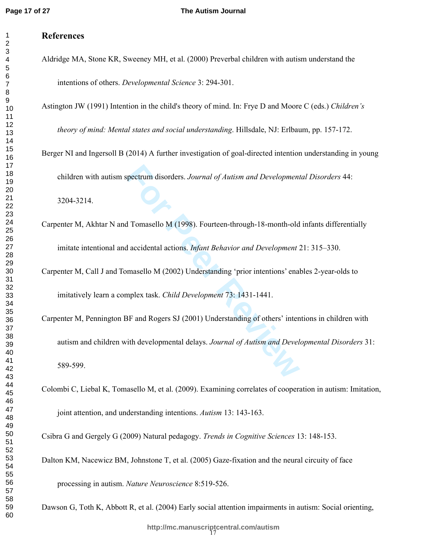# **References**

Aldridge MA, Stone KR, Sweeney MH, et al. (2000) Preverbal children with autism understand the intentions of others. *Developmental Science* 3: 294-301.

Astington JW (1991) Intention in the child's theory of mind. In: Frye D and Moore C (eds.) *Children's* 

*theory of mind: Mental states and social understanding* . Hillsdale, NJ: Erlbaum, pp. 157-172.

Berger NI and Ingersoll B (2014) A further investigation of goal-directed intention understanding in young

children with autism spectrum disorders. *Journal of Autism and Developmental Disorders* 44:

3204-3214.

- Carpenter M, Akhtar N and Tomasello M (1998). Fourteen-through-18-month-old infants differentially imitate intentional and accidental actions. *Infant Behavior and Development* 21: 315–330.
- Carpenter M, Call J and Tomasello M (2002) Understanding 'prior intentions' enables 2-year-olds to imitatively learn a complex task. *Child Development* 73: 1431-1441.
- Francello M (1998). Fourteen-through-18-month-old<br> **Formasello M (1998).** Fourteen-through-18-month-old<br> **Formasello M (2002)** Understanding 'prior intentions' enal<br>
mplex task. *Child Development* 73: 1431-1441.<br> **Formal** Carpenter M, Pennington BF and Rogers SJ (2001) Understanding of others' intentions in children with autism and children with developmental delays. *Journal of Autism and Developmental Disorders* 31: 589-599.
- Colombi C, Liebal K, Tomasello M, et al. (2009). Examining correlates of cooperation in autism: Imitation, joint attention, and understanding intentions. *Autism* 13: 143-163.

Csibra G and Gergely G (2009) Natural pedagogy. *Trends in Cognitive Sciences* 13: 148-153.

Dalton KM, Nacewicz BM, Johnstone T, et al. (2005) Gaze-fixation and the neural circuity of face

processing in autism. *Nature Neuroscience* 8:519-526.

Dawson G, Toth K, Abbott R, et al. (2004) Early social attention impairments in autism: Social orienting,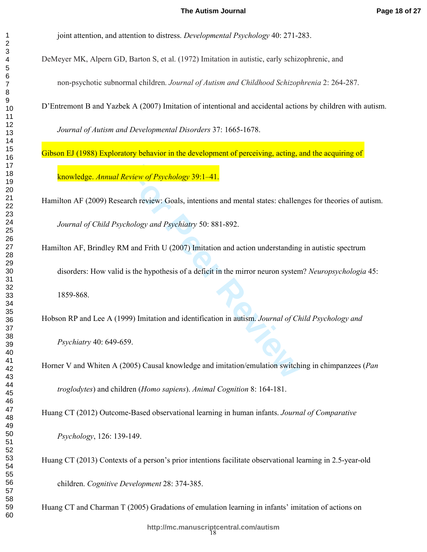joint attention, and attention to distress. *Developmental Psychology* 40: 271-283.

DeMeyer MK, Alpern GD, Barton S, et al. (1972) Imitation in autistic, early schizophrenic, and

non-psychotic subnormal children. *Journal of Autism and Childhood Schizophrenia* 2: 264-287.

D'Entremont B and Yazbek A (2007) Imitation of intentional and accidental actions by children with autism.

*Journal of Autism and Developmental Disorders* 37: 1665-1678.

Gibson EJ (1988) Exploratory behavior in the development of perceiving, acting, and the acquiring of knowledge. *Annual Review of Psychology* 39:1–41.

Hamilton AF (2009) Research review: Goals, intentions and mental states: challenges for theories of autism. *Journal of Child Psychology and Psychiatry* 50: 881-892.

**Example 10 For Psychology 39:1–41.**<br>
Figure 10 For Psychology 39:1–41.<br>
Figure Review: Goals, intentions and mental states: challen<br>
hology and Psychiatry 50: 881-892.<br>
1 and Frith U (2007) Imitation and action understand Hamilton AF, Brindley RM and Frith U (2007) Imitation and action understanding in autistic spectrum disorders: How valid is the hypothesis of a deficit in the mirror neuron system? *Neuropsychologia* 45: 1859-868.

Hobson RP and Lee A (1999) Imitation and identification in autism. *Journal of Child Psychology and Psychiatry* 40: 649-659.

Horner V and Whiten A (2005) Causal knowledge and imitation/emulation switching in chimpanzees (*Pan troglodytes*) and children (*Homo sapiens*). *Animal Cognition* 8: 164-181.

Huang CT (2012) Outcome-Based observational learning in human infants. *Journal of Comparative* 

*Psychology*, 126: 139-149.

Huang CT (2013) Contexts of a person's prior intentions facilitate observational learning in 2.5-year-old

children. *Cognitive Development* 28: 374-385.

Huang CT and Charman T (2005) Gradations of emulation learning in infants' imitation of actions on

 $\mathbf{1}$  $\overline{2}$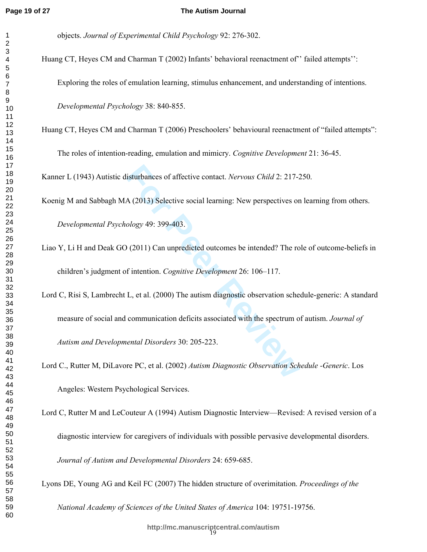#### **The Autism Journal**

objects. *Journal of Experimental Child Psychology* 92: 276-302.

Huang CT, Heyes CM and Charman T (2002) Infants' behavioral reenactment of "failed attempts": Exploring the roles of emulation learning, stimulus enhancement, and understanding of intentions. *Developmental Psychology* 38: 840-855.

Huang CT, Heyes CM and Charman T (2006) Preschoolers' behavioural reenactment of "failed attempts":

The roles of intention-reading, emulation and mimicry. *Cognitive Development* 21: 36-45.

Kanner L (1943) Autistic disturbances of affective contact. *Nervous Child* 2: 217-250.

Koenig M and Sabbagh MA (2013) Selective social learning: New perspectives on learning from others.

*Developmental Psychology* 49: 399-403.

- Liao Y, Li H and Deak GO (2011) Can unpredicted outcomes be intended? The role of outcome-beliefs in children's judgment of intention. *Cognitive Development* 26: 106–117.
- isturbances of affective contact. *Nervous Child* 2: 217-2<br>
A (2013) Selective social learning: New perspectives or<br> *Pology* 49: 399-403.<br> **For Pology** 49: 399-403.<br> **For Pology** 49: 399-403.<br> **For Pology** 49: 399-403.<br> Lord C, Risi S, Lambrecht L, et al. (2000) The autism diagnostic observation schedule-generic: A standard measure of social and communication deficits associated with the spectrum of autism. *Journal of Autism and Developmental Disorders* 30: 205-223.

Lord C., Rutter M, DiLavore PC, et al. (2002) *Autism Diagnostic Observation Schedule -Generic*. Los Angeles: Western Psychological Services.

Lord C, Rutter M and LeCouteur A (1994) Autism Diagnostic Interview—Revised: A revised version of a diagnostic interview for caregivers of individuals with possible pervasive developmental disorders. *Journal of Autism and Developmental Disorders* 24: 659-685.

Lyons DE, Young AG and Keil FC (2007) The hidden structure of overimitation. *Proceedings of the* 

*National Academy of Sciences of the United States of America* 104: 19751-19756.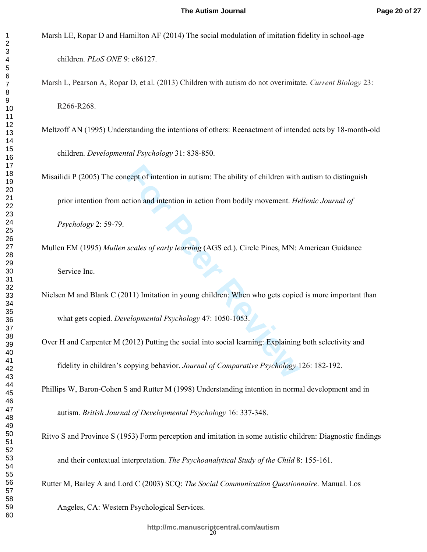Marsh LE, Ropar D and Hamilton AF (2014) The social modulation of imitation fidelity in school-age children. *PLoS ONE* 9: e86127.

Marsh L, Pearson A, Ropar D, et al. (2013) Children with autism do not overimitate. *Current Biology* 23: R266-R268.

Meltzoff AN (1995) Understanding the intentions of others: Reenactment of intended acts by 18-month-old children. *Developmental Psychology* 31: 838-850.

**For Equality of children with the ability of children with extion and intention in action from bodily movement.** *He* **scales of early learning (AGS ed.). Circle Pines, MN:** *A***<br>scales of early learning (AGS ed.). Circle Pin** Misailidi P (2005) The concept of intention in autism: The ability of children with autism to distinguish prior intention from action and intention in action from bodily movement. *Hellenic Journal of* 

*Psychology* 2: 59-79.

Mullen EM (1995) *Mullen scales of early learning* (AGS ed.). Circle Pines, MN: American Guidance Service Inc.

Nielsen M and Blank C (2011) Imitation in young children: When who gets copied is more important than what gets copied. *Developmental Psychology* 47: 1050-1053.

Over H and Carpenter M (2012) Putting the social into social learning: Explaining both selectivity and fidelity in children's copying behavior. *Journal of Comparative Psychology* 126: 182-192.

Phillips W, Baron-Cohen S and Rutter M (1998) Understanding intention in normal development and in autism. *British Journal of Developmental Psychology* 16: 337-348.

Ritvo S and Province S (1953) Form perception and imitation in some autistic children: Diagnostic findings

and their contextual interpretation. *The Psychoanalytical Study of the Child* 8: 155-161.

Rutter M, Bailey A and Lord C (2003) SCQ: *The Social Communication Questionnaire*. Manual. Los

Angeles, CA: Western Psychological Services.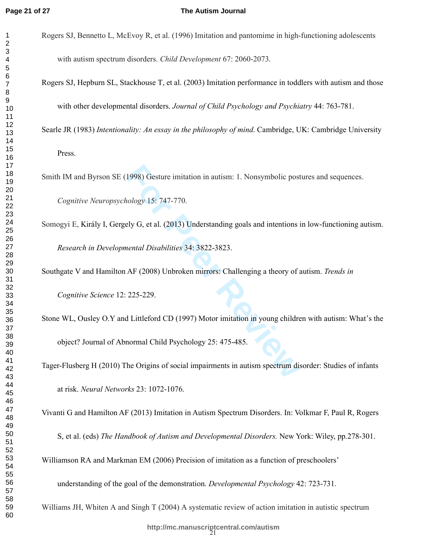$\mathbf{1}$  $\overline{2}$ 

## **The Autism Journal**

- Rogers SJ, Bennetto L, McEvoy R, et al. (1996) Imitation and pantomime in high-functioning adolescents with autism spectrum disorders. *Child Development* 67: 2060-2073.
- Rogers SJ, Hepburn SL, Stackhouse T, et al. (2003) Imitation performance in toddlers with autism and those with other developmental disorders. *Journal of Child Psychology and Psychiatry* 44: 763-781.

Searle JR (1983) *Intentionality: An essay in the philosophy of mind*. Cambridge, UK: Cambridge University

Press.

Smith IM and Byrson SE (1998) Gesture imitation in autism: 1. Nonsymbolic postures and sequences.

*Cognitive Neuropsychology* 15: 747-770.

**For Peer Review** Somogyi E, Király I, Gergely G, et al. (2013) Understanding goals and intentions in low-functioning autism. *Research in Developmental Disabilities* 34: 3822-3823.

Southgate V and Hamilton AF (2008) Unbroken mirrors: Challenging a theory of autism. *Trends in Cognitive Science* 12: 225-229.

Stone WL, Ousley O.Y and Littleford CD (1997) Motor imitation in young children with autism: What's the object? Journal of Abnormal Child Psychology 25: 475-485.

Tager-Flusberg H (2010) The Origins of social impairments in autism spectrum disorder: Studies of infants at risk. *Neural Networks* 23: 1072-1076.

Vivanti G and Hamilton AF (2013) Imitation in Autism Spectrum Disorders. In: Volkmar F, Paul R, Rogers

S, et al. (eds) *The Handbook of Autism and Developmental Disorders.* New York: Wiley, pp.278-301.

Williamson RA and Markman EM (2006) Precision of imitation as a function of preschoolers'

understanding of the goal of the demonstration. *Developmental Psychology* 42: 723-731.

Williams JH, Whiten A and Singh T (2004) A systematic review of action imitation in autistic spectrum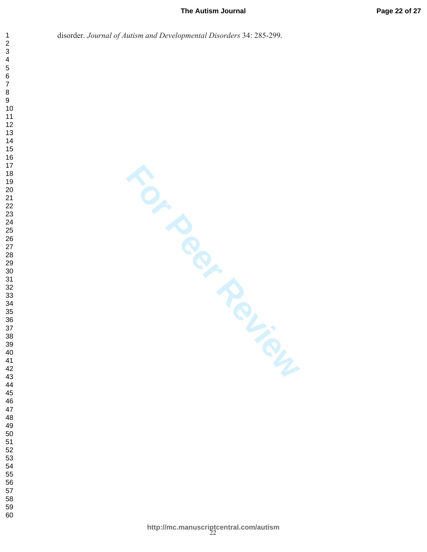## **The Autism Journal**

disorder. *Journal of Autism and Developmental Disorders* 34: 285-299.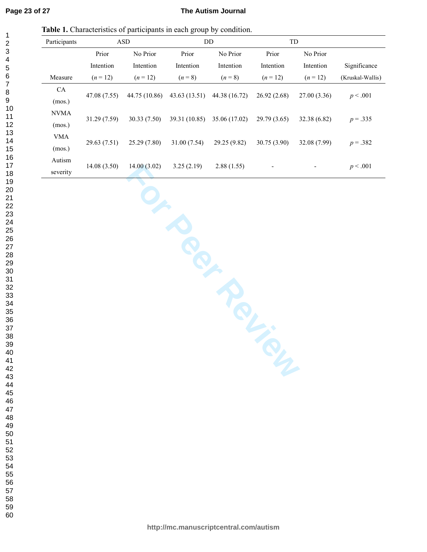123456789

 $\mathbf{1}$  $\overline{2}$ 3  $\overline{\mathbf{4}}$ 5 6  $\overline{7}$ 8 9

## **The Autism Journal**

**Table 1.** Characteristics of participants in each group by condition.

|              |              | л.<br>$\mathbf{r}$ | ັ<br>$\mathbf{r}$ |               |              |              |                  |
|--------------|--------------|--------------------|-------------------|---------------|--------------|--------------|------------------|
| Participants | <b>ASD</b>   |                    | DD                |               | TD           |              |                  |
|              | Prior        | No Prior           | Prior             | No Prior      | Prior        | No Prior     |                  |
|              | Intention    | Intention          | Intention         | Intention     | Intention    | Intention    | Significance     |
| Measure      | $(n=12)$     | $(n=12)$           | $(n = 8)$         | $(n = 8)$     | $(n=12)$     | $(n = 12)$   | (Kruskal-Wallis) |
| CA           | 47.08 (7.55) | 44.75 (10.86)      | 43.63(13.51)      | 44.38 (16.72) | 26.92(2.68)  | 27.00(3.36)  | p < .001         |
| (mos.)       |              |                    |                   |               |              |              |                  |
| <b>NVMA</b>  | 31.29 (7.59) | 30.33(7.50)        | 39.31 (10.85)     | 35.06 (17.02) | 29.79 (3.65) | 32.38 (6.82) | $p = .335$       |
| (mos.)       |              |                    |                   |               |              |              |                  |
| <b>VMA</b>   |              |                    |                   |               |              |              |                  |
| (mos.)       | 29.63 (7.51) | 25.29(7.80)        | 31.00 (7.54)      | 29.25 (9.82)  | 30.75(3.90)  | 32.08 (7.99) | $p = .382$       |
| Autism       |              | 14.00(3.02)        | 3.25(2.19)        | 2.88(1.55)    |              |              |                  |
| severity     | 14.08(3.50)  |                    |                   |               |              |              | p < .001         |

14.08 (3.50) 14.00 (3.02) 3.25 (2.19) 2.88 (1.55)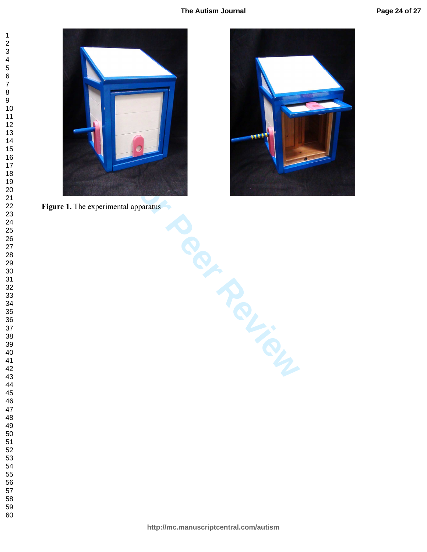## **The Autism Journal**







**Formation**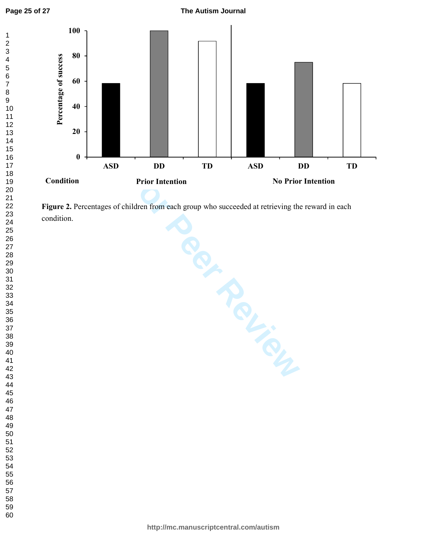**The Autism Journal**



**For Intention**<br>**For Intention**<br>**For Intention**<br>**For Prior Intention**<br>**For Prior Intention**<br>**For Prior Intention**<br>**For Prior Intentional Action 2014<br><br><b>For Prior Figure 2.** Percentages of children from each group who succeeded at retrieving the reward in each condition. **0**<br>**Condition**<br>**Figure 2.** Pe<br>condition.

**Condition Prior Intention Prior Intention No Prior Intention** 

**ASD DD TD ASD DD TD**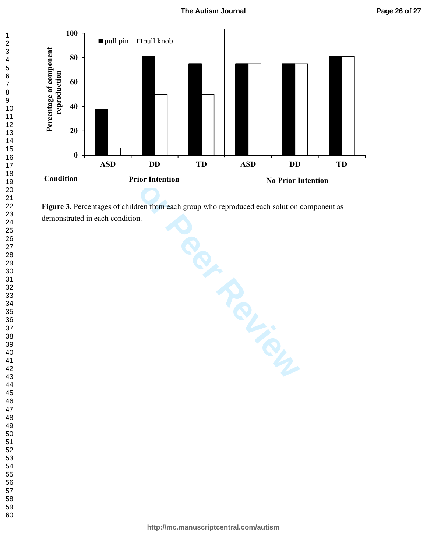

**Figure 3.** Percentages of children from each group who reproduced each solution component as demonstrated in each condition.